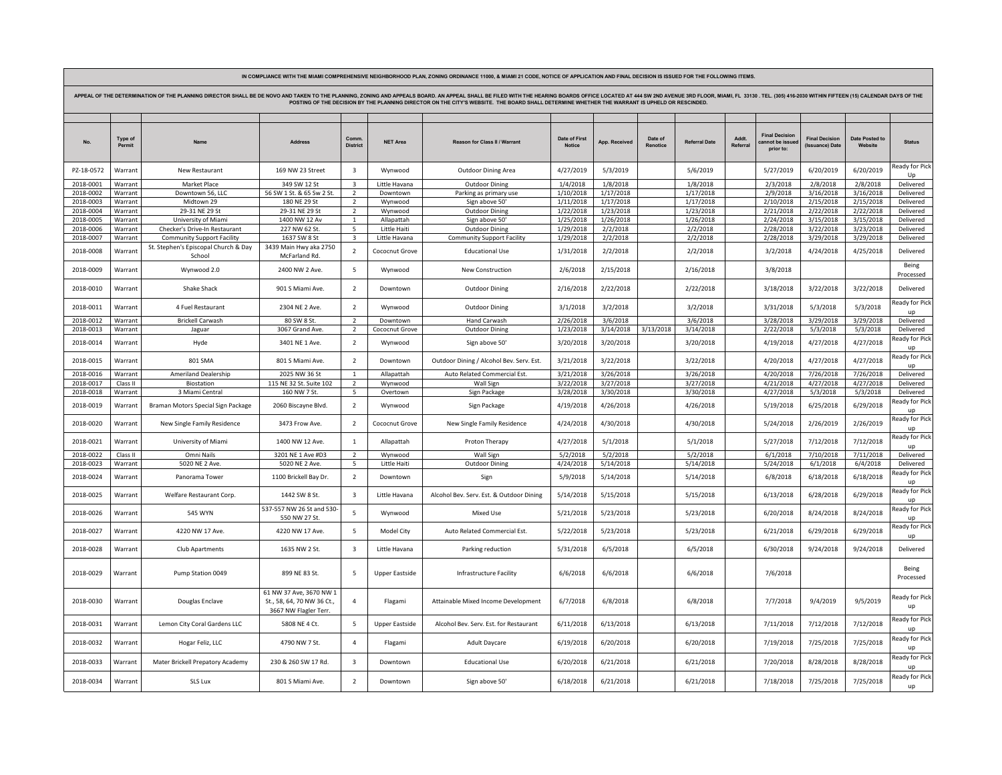| APPEAL OF THE DETERMINATION OF THE PLANNING DIRECTOR SHALL BE DE NOVO AND TAKEN TO THE PLANNING, ZONING AND APPEALS BOARD. AN APPEAL SHALL BE FILED WITH THE HEARING BOARDS OFFICE LOCATED AT 444 SW 2ND AVENUE 3RD FLOOR, MIA<br>POSTING OF THE DECISION BY THE PLANNING DIRECTOR ON THE CITY'S WEBSITE. THE BOARD SHALL DETERMINE WHETHER THE WARRANT IS UPHELD OR RESCINDED. |                    |                                                |                                                                                |                         |                          |                                          |                                |                        |                     |                        |                   |                                                     |                                                |                           |                                      |
|---------------------------------------------------------------------------------------------------------------------------------------------------------------------------------------------------------------------------------------------------------------------------------------------------------------------------------------------------------------------------------|--------------------|------------------------------------------------|--------------------------------------------------------------------------------|-------------------------|--------------------------|------------------------------------------|--------------------------------|------------------------|---------------------|------------------------|-------------------|-----------------------------------------------------|------------------------------------------------|---------------------------|--------------------------------------|
| No.                                                                                                                                                                                                                                                                                                                                                                             | Type of<br>Permit  | Name                                           | Address                                                                        | Comm<br><b>District</b> | <b>NET Area</b>          | <b>Reason for Class II / Warrant</b>     | Date of First<br><b>Notice</b> | App. Received          | Date of<br>Renotice | <b>Referral Date</b>   | Addt.<br>Referral | <b>Final Decision</b><br>annot be issu<br>prior to: | <b>Final Decision</b><br><b>Issuance)</b> Date | Date Posted to<br>Website | <b>Status</b>                        |
| PZ-18-0572                                                                                                                                                                                                                                                                                                                                                                      | Warrant            | New Restaurant                                 | 169 NW 23 Street                                                               | $\overline{\mathbf{3}}$ | Wynwood                  | <b>Outdoor Dining Area</b>               | 4/27/2019                      | 5/3/2019               |                     | 5/6/2019               |                   | 5/27/2019                                           | 6/20/2019                                      | 6/20/2019                 | eady for Pick<br>Up                  |
| 2018-0001                                                                                                                                                                                                                                                                                                                                                                       | Warrant            | Market Place                                   | 349 SW 12 St                                                                   | $\overline{\mathbf{3}}$ | Little Havana            | Outdoor Dining                           | 1/4/2018                       | 1/8/2018               |                     | 1/8/2018               |                   | 2/3/2018                                            | 2/8/2018                                       | 2/8/2018                  | Delivered                            |
| 2018-0002                                                                                                                                                                                                                                                                                                                                                                       | Warrant            | Downtown 56, LLC                               | 56 SW 1 St. & 65 Sw 2 St.                                                      | $\overline{2}$          | Downtown                 | Parking as primary use                   | 1/10/2018                      | 1/17/2018              |                     | 1/17/2018              |                   | 2/9/2018                                            | 3/16/2018                                      | 3/16/2018                 | Delivered                            |
| 2018-0003                                                                                                                                                                                                                                                                                                                                                                       | Warrant            | Midtown 29                                     | 180 NF 29 St                                                                   | $\overline{z}$          | Wynwood                  | Sign above 50                            | 1/11/2018                      | 1/17/2018              |                     | 1/17/2018              |                   | 2/10/2018                                           | 2/15/2018                                      | 2/15/2018                 | Delivered                            |
| 2018-0004                                                                                                                                                                                                                                                                                                                                                                       | Warrant            | 29-31 NE 29 St                                 | 29-31 NE 29 St                                                                 | $\overline{2}$          | Wynwood                  | Outdoor Dining                           | 1/22/2018                      | 1/23/2018              |                     | 1/23/2018              |                   | 2/21/2018                                           | 2/22/2018                                      | 2/22/2018                 | Delivered                            |
| 2018-0005                                                                                                                                                                                                                                                                                                                                                                       | Warrant            | University of Miami                            | 1400 NW 12 Av                                                                  | $\mathbf{1}$            | Allapattah               | Sign above 50                            | 1/25/2018                      | 1/26/2018              |                     | 1/26/2018              |                   | 2/24/2018                                           | 3/15/2018                                      | 3/15/2018                 | Delivered                            |
| 2018-0006                                                                                                                                                                                                                                                                                                                                                                       | Warrant            | Checker's Drive-In Restaurant                  | 227 NW 62 St.                                                                  | 5                       | Little Haiti             | Outdoor Dining                           | 1/29/2018                      | 2/2/2018               |                     | 2/2/2018               |                   | 2/28/2018                                           | 3/22/2018                                      | 3/23/2018                 | Delivered                            |
| 2018-0007                                                                                                                                                                                                                                                                                                                                                                       | Warrant            | <b>Community Support Facility</b>              | 1637 SW 8 St                                                                   | 3                       | Little Havana            | <b>Community Support Facility</b>        | 1/29/2018                      | 2/2/2018               |                     | 2/2/2018               |                   | 2/28/2018                                           | 3/29/2018                                      | 3/29/2018                 | Delivered                            |
| 2018-0008                                                                                                                                                                                                                                                                                                                                                                       | Warrant            | St. Stephen's Episcopal Church & Day<br>School | 3439 Main Hwy aka 2750<br><b>McFarland Rd</b>                                  | $\overline{2}$          | Cococnut Grove           | <b>Educational Use</b>                   | 1/31/2018                      | 2/2/2018               |                     | 2/2/2018               |                   | 3/2/2018                                            | 4/24/2018                                      | 4/25/2018                 | Delivered                            |
| 2018-0009                                                                                                                                                                                                                                                                                                                                                                       | Warrant            | Wynwood 2.0                                    | 2400 NW 2 Ave.                                                                 | -5                      | Wynwood                  | <b>New Construction</b>                  | 2/6/2018                       | 2/15/2018              |                     | 2/16/2018              |                   | 3/8/2018                                            |                                                |                           | Being<br>Processed                   |
| 2018-0010                                                                                                                                                                                                                                                                                                                                                                       | Warrant            | Shake Shack                                    | 901 S Miami Ave.                                                               | $\overline{2}$          | Downtown                 | Outdoor Dining                           | 2/16/2018                      | 2/22/2018              |                     | 2/22/2018              |                   | 3/18/2018                                           | 3/22/2018                                      | 3/22/2018                 | Delivered                            |
| 2018-0011                                                                                                                                                                                                                                                                                                                                                                       | Warrant            | 4 Fuel Restaurant                              | 2304 NE 2 Ave.                                                                 | $\overline{2}$          | Wynwood                  | <b>Outdoor Dining</b>                    | 3/1/2018                       | 3/2/2018               |                     | 3/2/2018               |                   | 3/31/2018                                           | 5/3/2018                                       | 5/3/2018                  | teady for Picl<br><b>un</b>          |
| 2018-0012                                                                                                                                                                                                                                                                                                                                                                       | Warrant            | <b>Brickell Carwash</b>                        | 80 SW 8 St.                                                                    | $\overline{z}$          | Downtown                 | Hand Carwash                             | 2/26/2018                      | 3/6/2018               |                     | 3/6/2018               |                   | 3/28/2018                                           | 3/29/2018                                      | 3/29/2018                 | Delivered                            |
| 2018-0013                                                                                                                                                                                                                                                                                                                                                                       | Warrant            | Jaguar                                         | 3067 Grand Ave.                                                                | $\overline{2}$          | Cococnut Grove           | Outdoor Dining                           | 1/23/2018                      | 3/14/2018              | 3/13/2018           | 3/14/2018              |                   | 2/22/2018                                           | 5/3/2018                                       | 5/3/2018                  | Delivered                            |
| 2018-0014                                                                                                                                                                                                                                                                                                                                                                       | Warrant            | Hyde                                           | 3401 NE 1 Ave.                                                                 | $\overline{2}$          | Wynwood                  | Sign above 50'                           | 3/20/2018                      | 3/20/2018              |                     | 3/20/2018              |                   | 4/19/2018                                           | 4/27/2018                                      | 4/27/2018                 | eady for Pick<br><b>UD</b>           |
| 2018-0015                                                                                                                                                                                                                                                                                                                                                                       | Warrant            | 801 SMA                                        | 801 S Miami Ave.                                                               | $\overline{2}$          | Downtown                 | Outdoor Dining / Alcohol Bev. Serv. Est  | 3/21/2018                      | 3/22/2018              |                     | 3/22/2018              |                   | 4/20/2018                                           | 4/27/2018                                      | 4/27/2018                 | eady for Pick<br>up                  |
| 2018-0016                                                                                                                                                                                                                                                                                                                                                                       | Warrant            | Ameriland Dealership                           | 2025 NW 36 St                                                                  | $\mathbf{1}$            | Allapattah               | Auto Related Commercial Est.             | 3/21/2018                      | 3/26/2018              |                     | 3/26/2018              |                   | 4/20/2018                                           | 7/26/2018                                      | 7/26/2018                 | Delivered                            |
| 2018-0017                                                                                                                                                                                                                                                                                                                                                                       | Class II           | <b>Biostation</b>                              | 115 NE 32 St. Suite 102                                                        | $\overline{2}$          | Wynwood                  | Wall Sign                                | 3/22/2018                      | 3/27/2018              |                     | 3/27/2018              |                   | 4/21/2018                                           | 4/27/2018                                      | 4/27/2018                 | Delivered                            |
| 2018-0018                                                                                                                                                                                                                                                                                                                                                                       | Warrant            | 3 Miami Central                                | 160 NW 7 St.                                                                   | 5                       | Overtown                 | Sign Package                             | 3/28/2018                      | 3/30/2018              |                     | 3/30/2018              |                   | 4/27/2018                                           | 5/3/2018                                       | 5/3/2018                  | Delivered                            |
| 2018-0019                                                                                                                                                                                                                                                                                                                                                                       | Warrant            | Braman Motors Special Sign Package             | 2060 Biscayne Blvd.                                                            | $\overline{2}$          | Wynwood                  | Sign Package                             | 4/19/2018                      | 4/26/2018              |                     | 4/26/2018              |                   | 5/19/2018                                           | 6/25/2018                                      | 6/29/2018                 | eady for Pick<br>up<br>eady for Pick |
| 2018-0020                                                                                                                                                                                                                                                                                                                                                                       | Warrant            | New Single Family Residence                    | 3473 Frow Ave.                                                                 | $\overline{2}$          | Cococnut Grove           | New Single Family Residence              | 4/24/2018                      | 4/30/2018              |                     | 4/30/2018              |                   | 5/24/2018                                           | 2/26/2019                                      | 2/26/2019                 | $\mathbf{u}$<br>eady for Pick        |
| 2018-0021                                                                                                                                                                                                                                                                                                                                                                       | Warrant            | University of Miami                            | 1400 NW 12 Ave.                                                                | $\overline{1}$          | Allapattah               | Proton Therapy                           | 4/27/2018                      | 5/1/2018               |                     | 5/1/2018               |                   | 5/27/2018                                           | 7/12/2018                                      | 7/12/2018                 | un                                   |
| 2018-0022                                                                                                                                                                                                                                                                                                                                                                       | Class II           | Omni Nails                                     | 3201 NE 1 Ave #D3                                                              | $\overline{z}$          | Wynwood                  | <b>Wall Sigr</b>                         | 5/2/2018                       | 5/2/2018               |                     | 5/2/2018               |                   | 6/1/2018                                            | 7/10/2018                                      | 7/11/2018                 | Delivered                            |
| 2018-0023<br>2018-0024                                                                                                                                                                                                                                                                                                                                                          | Warrant<br>Warrant | 5020 NE 2 Ave.<br>Panorama Tower               | 5020 NE 2 Ave.<br>1100 Brickell Bay Dr.                                        | 5<br>$\overline{2}$     | Little Haiti<br>Downtown | Outdoor Dining<br>Sign                   | 4/24/2018<br>5/9/2018          | 5/14/2018<br>5/14/2018 |                     | 5/14/2018<br>5/14/2018 |                   | 5/24/2018<br>6/8/2018                               | 6/1/2018<br>6/18/2018                          | 6/4/2018<br>6/18/2018     | Delivered<br>leady for Picl          |
|                                                                                                                                                                                                                                                                                                                                                                                 |                    |                                                |                                                                                |                         |                          |                                          |                                |                        |                     |                        |                   |                                                     |                                                |                           | up<br>eady for Pick                  |
| 2018-0025                                                                                                                                                                                                                                                                                                                                                                       | Warrant            | Welfare Restaurant Corp.                       | 1442 SW 8 St.<br>537-557 NW 26 St and 530-                                     | $\overline{\mathbf{3}}$ | Little Havana            | Alcohol Bev. Serv. Est. & Outdoor Dining | 5/14/2018                      | 5/15/2018              |                     | 5/15/2018              |                   | 6/13/2018                                           | 6/28/2018                                      | 6/29/2018                 | <b>up</b><br>leady for Pick          |
| 2018-0026                                                                                                                                                                                                                                                                                                                                                                       | Warrant            | <b>545 WYN</b>                                 | 550 NW 27 St.                                                                  | $\overline{5}$          | Wynwood                  | <b>Mixed Use</b>                         | 5/21/2018                      | 5/23/2018              |                     | 5/23/2018              |                   | 6/20/2018                                           | 8/24/2018                                      | 8/24/2018                 | $\mathbf{u}$<br>eady for Pick        |
| 2018-0027                                                                                                                                                                                                                                                                                                                                                                       | Warrant            | 4220 NW 17 Ave.                                | 4220 NW 17 Ave.                                                                | 5                       | Model City               | Auto Related Commercial Est.             | 5/22/2018                      | 5/23/2018              |                     | 5/23/2018              |                   | 6/21/2018                                           | 6/29/2018                                      | 6/29/2018                 | <b>UD</b>                            |
| 2018-0028                                                                                                                                                                                                                                                                                                                                                                       | Warrant            | Club Apartments                                | 1635 NW 2 St.                                                                  | $\overline{\mathbf{3}}$ | Little Havana            | Parking reduction                        | 5/31/2018                      | 6/5/2018               |                     | 6/5/2018               |                   | 6/30/2018                                           | 9/24/2018                                      | 9/24/2018                 | Delivered                            |
| 2018-0029                                                                                                                                                                                                                                                                                                                                                                       | Warrant            | Pump Station 0049                              | 899 NE 83 St.                                                                  | 5                       | Upper Eastside           | Infrastructure Facility                  | 6/6/2018                       | 6/6/2018               |                     | 6/6/2018               |                   | 7/6/2018                                            |                                                |                           | Being<br>Processed                   |
| 2018-0030                                                                                                                                                                                                                                                                                                                                                                       | Warrant            | Douglas Enclave                                | 61 NW 37 Ave, 3670 NW 1<br>St., 58, 64, 70 NW 36 Ct.,<br>3667 NW Flagler Terr. | $\overline{4}$          | Flagami                  | Attainable Mixed Income Development      | 6/7/2018                       | 6/8/2018               |                     | 6/8/2018               |                   | 7/7/2018                                            | 9/4/2019                                       | 9/5/2019                  | eady for Pick<br>up                  |
| 2018-0031                                                                                                                                                                                                                                                                                                                                                                       | Warrant            | Lemon City Coral Gardens LLC                   | 5808 NE 4 Ct.                                                                  | -5                      | <b>Upper Eastside</b>    | Alcohol Bev. Serv. Est. for Restaurant   | 6/11/2018                      | 6/13/2018              |                     | 6/13/2018              |                   | 7/11/2018                                           | 7/12/2018                                      | 7/12/2018                 | Ready for Pick<br>up                 |
| 2018-0032                                                                                                                                                                                                                                                                                                                                                                       | Warrant            | Hogar Feliz, LLC                               | 4790 NW 7 St.                                                                  | $\overline{4}$          | Flagami                  | <b>Adult Daycare</b>                     | 6/19/2018                      | 6/20/2018              |                     | 6/20/2018              |                   | 7/19/2018                                           | 7/25/2018                                      | 7/25/2018                 | leady for Pick<br>up                 |
| 2018-0033                                                                                                                                                                                                                                                                                                                                                                       | Warrant            | Mater Brickell Prepatory Academy               | 230 & 260 SW 17 Rd.                                                            | $\overline{\mathbf{3}}$ | Downtown                 | <b>Educational Use</b>                   | 6/20/2018                      | 6/21/2018              |                     | 6/21/2018              |                   | 7/20/2018                                           | 8/28/2018                                      | 8/28/2018                 | Ready for Pick<br>up                 |
| 2018-0034                                                                                                                                                                                                                                                                                                                                                                       | Warrant            | SLS Lux                                        | 801 S Miami Ave.                                                               | $\overline{2}$          | Downtown                 | Sign above 50'                           | 6/18/2018                      | 6/21/2018              |                     | 6/21/2018              |                   | 7/18/2018                                           | 7/25/2018                                      | 7/25/2018                 | eady for Pick<br>up                  |

**IN COMPLIANCE WITH THE MIAMI COMPREHENSIVE NEIGHBORHOOD PLAN, ZONING ORDINANCE 11000, & MIAMI 21 CODE, NOTICE OF APPLICATION AND FINAL DECISION IS ISSUED FOR THE FOLLOWING ITEMS.**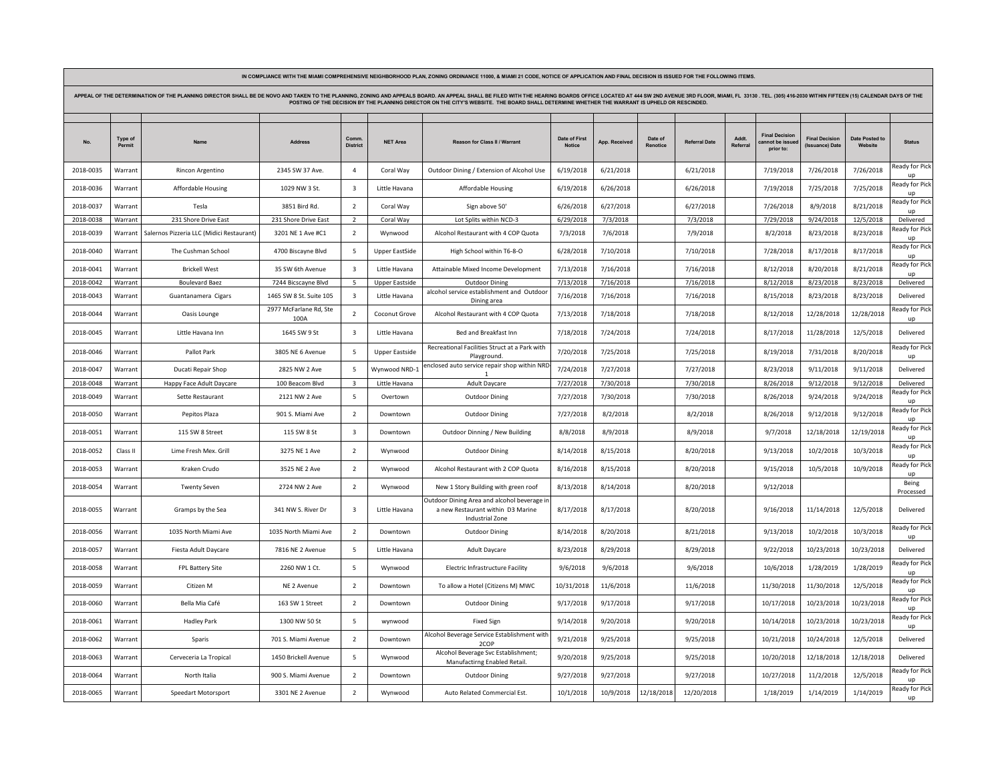| APPEAL OF THE DETERMINATION OF THE PLANNING DIRECTOR SHALL BE DE NOVO AND TAKEN TO THE PLANNING, ZONING AND APPEALS BOARD. AN APPEAL SHALL BE FILED WITH THE HEARING BOARDS OFFICE LOCATED AT 444 SW 2ND AVENUE 3RD FLOOR, MIA<br>POSTING OF THE DECISION BY THE PLANNING DIRECTOR ON THE CITY'S WEBSITE. THE BOARD SHALL DETERMINE WHETHER THE WARRANT IS UPHELD OR RESCINDED. |                   |                                           |                                |                         |                       |                                                                                                     |                                |               |                     |                      |                   |                                                  |                                          |                                  |                               |
|---------------------------------------------------------------------------------------------------------------------------------------------------------------------------------------------------------------------------------------------------------------------------------------------------------------------------------------------------------------------------------|-------------------|-------------------------------------------|--------------------------------|-------------------------|-----------------------|-----------------------------------------------------------------------------------------------------|--------------------------------|---------------|---------------------|----------------------|-------------------|--------------------------------------------------|------------------------------------------|----------------------------------|-------------------------------|
|                                                                                                                                                                                                                                                                                                                                                                                 | Type of<br>Permit |                                           | <b>Address</b>                 | Comm<br><b>District</b> | <b>NET Area</b>       | Reason for Class II / Warrant                                                                       | Date of First<br><b>Notice</b> | App. Received | Date of<br>Renotice | <b>Referral Date</b> | Addt.<br>Referral | <b>Final Decision</b><br>ot be issu<br>prior to: | <b>Final Decision</b><br>(Issuance) Date | <b>Date Posted to</b><br>Website | <b>Status</b>                 |
| 2018-0035                                                                                                                                                                                                                                                                                                                                                                       | Warrant           | Rincon Argentino                          | 2345 SW 37 Ave.                | $\overline{a}$          | Coral Way             | Outdoor Dining / Extension of Alcohol Use                                                           | 6/19/2018                      | 6/21/2018     |                     | 6/21/2018            |                   | 7/19/2018                                        | 7/26/2018                                | 7/26/2018                        | Ready for Pick<br>up          |
| 2018-0036                                                                                                                                                                                                                                                                                                                                                                       | Warrant           | Affordable Housing                        | 1029 NW 3 St.                  | $\overline{\mathbf{3}}$ | Little Havana         | <b>Affordable Housing</b>                                                                           | 6/19/2018                      | 6/26/2018     |                     | 6/26/2018            |                   | 7/19/2018                                        | 7/25/2018                                | 7/25/2018                        | leady for Pick                |
| 2018-0037                                                                                                                                                                                                                                                                                                                                                                       | Warrant           | Tesla                                     | 3851 Bird Rd.                  | $\overline{2}$          | Coral Way             | Sign above 50'                                                                                      | 6/26/2018                      | 6/27/2018     |                     | 6/27/2018            |                   | 7/26/2018                                        | 8/9/2018                                 | 8/21/2018                        | eady for Pick<br>$\mathbf{u}$ |
| 2018-0038                                                                                                                                                                                                                                                                                                                                                                       | Warrant           | 231 Shore Drive East                      | 231 Shore Drive East           | $\overline{2}$          | Coral Way             | Lot Splits within NCD-3                                                                             | 6/29/2018                      | 7/3/2018      |                     | 7/3/2018             |                   | 7/29/2018                                        | 9/24/2018                                | 12/5/2018                        | Delivered                     |
| 2018-0039                                                                                                                                                                                                                                                                                                                                                                       | Warrant           | Salernos Pizzeria LLC (Midici Restaurant) | 3201 NE 1 Ave #C1              | $\overline{2}$          | Wynwood               | Alcohol Restaurant with 4 COP Quota                                                                 | 7/3/2018                       | 7/6/2018      |                     | 7/9/2018             |                   | 8/2/2018                                         | 8/23/2018                                | 8/23/2018                        | eady for Pick<br><b>UD</b>    |
| 2018-0040                                                                                                                                                                                                                                                                                                                                                                       | Warrant           | The Cushman School                        | 4700 Biscayne Blvd             | 5                       | <b>Upper EastSide</b> | High School within T6-8-O                                                                           | 6/28/2018                      | 7/10/2018     |                     | 7/10/2018            |                   | 7/28/2018                                        | 8/17/2018                                | 8/17/2018                        | eady for Pick                 |
| 2018-0041                                                                                                                                                                                                                                                                                                                                                                       | Warrant           | <b>Brickell West</b>                      | 35 SW 6th Avenue               | $\overline{\mathbf{3}}$ | Little Havana         | Attainable Mixed Income Development                                                                 | 7/13/2018                      | 7/16/2018     |                     | 7/16/2018            |                   | 8/12/2018                                        | 8/20/2018                                | 8/21/2018                        | leady for Pick<br><b>up</b>   |
| 2018-0042                                                                                                                                                                                                                                                                                                                                                                       | Warrant           | <b>Boulevard Baez</b>                     | 7244 Bicscayne Blvd            | 5                       | <b>Upper Eastside</b> | <b>Outdoor Dining</b>                                                                               | 7/13/2018                      | 7/16/2018     |                     | 7/16/2018            |                   | 8/12/2018                                        | 8/23/2018                                | 8/23/2018                        | Delivered                     |
| 2018-0043                                                                                                                                                                                                                                                                                                                                                                       | Warrant           | Guantanamera Cigars                       | 1465 SW 8 St. Suite 105        | $\overline{\mathbf{3}}$ | Little Havana         | alcohol service establishment and Outdoor<br>Dining area                                            | 7/16/2018                      | 7/16/2018     |                     | 7/16/2018            |                   | 8/15/2018                                        | 8/23/2018                                | 8/23/2018                        | Delivered                     |
| 2018-0044                                                                                                                                                                                                                                                                                                                                                                       | Warrant           | Oasis Lounge                              | 2977 McFarlane Rd, Ste<br>100A | $\overline{2}$          | Coconut Grove         | Alcohol Restaurant with 4 COP Quota                                                                 | 7/13/2018                      | 7/18/2018     |                     | 7/18/2018            |                   | 8/12/2018                                        | 12/28/2018                               | 12/28/2018                       | eady for Pick<br><b>up</b>    |
| 2018-0045                                                                                                                                                                                                                                                                                                                                                                       | Warrant           | Little Havana Inn                         | 1645 SW 9 St                   | $\overline{\mathbf{3}}$ | Little Havana         | Bed and Breakfast Inn                                                                               | 7/18/2018                      | 7/24/2018     |                     | 7/24/2018            |                   | 8/17/2018                                        | 11/28/2018                               | 12/5/2018                        | Delivered                     |
| 2018-0046                                                                                                                                                                                                                                                                                                                                                                       | Warrant           | Pallot Park                               | 3805 NE 6 Avenue               | 5                       | <b>Upper Eastside</b> | Recreational Facilities Struct at a Park with<br>Playground.                                        | 7/20/2018                      | 7/25/2018     |                     | 7/25/2018            |                   | 8/19/2018                                        | 7/31/2018                                | 8/20/2018                        | eady for Pick<br><b>up</b>    |
| 2018-0047                                                                                                                                                                                                                                                                                                                                                                       | Warrant           | Ducati Repair Shop                        | 2825 NW 2 Ave                  | -5                      | Wynwood NRD-2         | enclosed auto service repair shop within NRD                                                        | 7/24/2018                      | 7/27/2018     |                     | 7/27/2018            |                   | 8/23/2018                                        | 9/11/2018                                | 9/11/2018                        | Delivered                     |
| 2018-0048                                                                                                                                                                                                                                                                                                                                                                       | Warrant           | Happy Face Adult Daycare                  | 100 Beacom Blvd                | $\overline{\mathbf{3}}$ | Little Havana         | Adult Daycare                                                                                       | 7/27/2018                      | 7/30/2018     |                     | 7/30/2018            |                   | 8/26/2018                                        | 9/12/2018                                | 9/12/2018                        | Delivered                     |
| 2018-0049                                                                                                                                                                                                                                                                                                                                                                       | Warrant           | Sette Restaurant                          | 2121 NW 2 Ave                  | 5                       | Overtown              | <b>Outdoor Dining</b>                                                                               | 7/27/2018                      | 7/30/2018     |                     | 7/30/2018            |                   | 8/26/2018                                        | 9/24/2018                                | 9/24/2018                        | eady for Pick                 |
| 2018-0050                                                                                                                                                                                                                                                                                                                                                                       | Warrant           | Pepitos Plaza                             | 901 S. Miami Ave               | $\overline{2}$          | Downtown              | <b>Outdoor Dining</b>                                                                               | 7/27/2018                      | 8/2/2018      |                     | 8/2/2018             |                   | 8/26/2018                                        | 9/12/2018                                | 9/12/2018                        | leady for Pick<br><b>up</b>   |
| 2018-0051                                                                                                                                                                                                                                                                                                                                                                       | Warrant           | 115 SW 8 Street                           | 115 SW 8 St                    | $\overline{\mathbf{3}}$ | Downtown              | Outdoor Dinning / New Building                                                                      | 8/8/2018                       | 8/9/2018      |                     | 8/9/2018             |                   | 9/7/2018                                         | 12/18/2018                               | 12/19/2018                       | leady for Pick                |
| 2018-0052                                                                                                                                                                                                                                                                                                                                                                       | Class II          | Lime Fresh Mex. Grill                     | 3275 NE 1 Ave                  | $\overline{2}$          | Wynwood               | <b>Outdoor Dining</b>                                                                               | 8/14/2018                      | 8/15/2018     |                     | 8/20/2018            |                   | 9/13/2018                                        | 10/2/2018                                | 10/3/2018                        | Ready for Pick<br>up          |
| 2018-0053                                                                                                                                                                                                                                                                                                                                                                       | Warrant           | Kraken Crudo                              | 3525 NE 2 Ave                  | $\overline{2}$          | Wynwood               | Alcohol Restaurant with 2 COP Quota                                                                 | 8/16/2018                      | 8/15/2018     |                     | 8/20/2018            |                   | 9/15/2018                                        | 10/5/2018                                | 10/9/2018                        | eady for Pick<br><b>up</b>    |
| 2018-0054                                                                                                                                                                                                                                                                                                                                                                       | Warrant           | <b>Twenty Seven</b>                       | 2724 NW 2 Ave                  | $\overline{2}$          | Wynwood               | New 1 Story Building with green roof                                                                | 8/13/2018                      | 8/14/2018     |                     | 8/20/2018            |                   | 9/12/2018                                        |                                          |                                  | Being<br>Processed            |
| 2018-0055                                                                                                                                                                                                                                                                                                                                                                       | Warrant           | Gramps by the Sea                         | 341 NW S. River Dr             | $\overline{\mathbf{3}}$ | Little Havana         | Outdoor Dining Area and alcohol beverage is<br>a new Restaurant within D3 Marine<br>Industrial Zone | 8/17/2018                      | 8/17/2018     |                     | 8/20/2018            |                   | 9/16/2018                                        | 11/14/2018                               | 12/5/2018                        | Delivered                     |
| 2018-0056                                                                                                                                                                                                                                                                                                                                                                       | Warrant           | 1035 North Miami Ave                      | 1035 North Miami Ave           | $\overline{2}$          | Downtown              | <b>Outdoor Dining</b>                                                                               | 8/14/2018                      | 8/20/2018     |                     | 8/21/2018            |                   | 9/13/2018                                        | 10/2/2018                                | 10/3/2018                        | leady for Pick<br><b>up</b>   |
| 2018-0057                                                                                                                                                                                                                                                                                                                                                                       | Warrant           | Fiesta Adult Daycare                      | 7816 NE 2 Avenue               | 5                       | Little Havana         | <b>Adult Daycare</b>                                                                                | 8/23/2018                      | 8/29/2018     |                     | 8/29/2018            |                   | 9/22/2018                                        | 10/23/2018                               | 10/23/2018                       | Delivered                     |
| 2018-0058                                                                                                                                                                                                                                                                                                                                                                       | Warrant           | FPL Battery Site                          | 2260 NW 1 Ct.                  | 5                       | Wynwood               | Electric Infrastructure Facility                                                                    | 9/6/2018                       | 9/6/2018      |                     | 9/6/2018             |                   | 10/6/2018                                        | 1/28/2019                                | 1/28/2019                        | eady for Pick<br><b>UD</b>    |
| 2018-0059                                                                                                                                                                                                                                                                                                                                                                       | Warrant           | Citizen M                                 | NE 2 Avenue                    | $\overline{2}$          | Downtown              | To allow a Hotel (Citizens M) MWC                                                                   | 10/31/2018                     | 11/6/2018     |                     | 11/6/2018            |                   | 11/30/2018                                       | 11/30/2018                               | 12/5/2018                        | eady for Pick<br>$\mathsf{u}$ |
| 2018-0060                                                                                                                                                                                                                                                                                                                                                                       | Warrant           | Bella Mia Café                            | 163 SW 1 Street                | $\overline{2}$          | Downtown              | <b>Outdoor Dining</b>                                                                               | 9/17/2018                      | 9/17/2018     |                     | 9/17/2018            |                   | 10/17/2018                                       | 10/23/2018                               | 10/23/2018                       | eady for Pick                 |
| 2018-0061                                                                                                                                                                                                                                                                                                                                                                       | Warrant           | <b>Hadley Park</b>                        | 1300 NW 50 St                  | 5                       | wynwood               | <b>Fixed Sign</b>                                                                                   | 9/14/2018                      | 9/20/2018     |                     | 9/20/2018            |                   | 10/14/2018                                       | 10/23/2018                               | 10/23/2018                       | eady for Pick<br>up           |
| 2018-0062                                                                                                                                                                                                                                                                                                                                                                       | Warrant           | Sparis                                    | 701 S. Miami Avenue            | $\overline{2}$          | Downtown              | Alcohol Beverage Service Establishment with<br>2COP                                                 | 9/21/2018                      | 9/25/2018     |                     | 9/25/2018            |                   | 10/21/2018                                       | 10/24/2018                               | 12/5/2018                        | Delivered                     |
| 2018-0063                                                                                                                                                                                                                                                                                                                                                                       | Warrant           | Cerveceria La Tropical                    | 1450 Brickell Avenue           | 5                       | Wynwood               | Alcohol Beverage Svc Establishment;<br>Manufactirng Enabled Retail.                                 | 9/20/2018                      | 9/25/2018     |                     | 9/25/2018            |                   | 10/20/2018                                       | 12/18/2018                               | 12/18/2018                       | Delivered                     |
| 2018-0064                                                                                                                                                                                                                                                                                                                                                                       | Warrant           | North Italia                              | 900 S. Miami Avenue            | $\overline{2}$          | Downtown              | <b>Outdoor Dining</b>                                                                               | 9/27/2018                      | 9/27/2018     |                     | 9/27/2018            |                   | 10/27/2018                                       | 11/2/2018                                | 12/5/2018                        | eady for Pick<br><b>UD</b>    |
| 2018-0065                                                                                                                                                                                                                                                                                                                                                                       | Warrant           | Speedart Motorsport                       | 3301 NE 2 Avenue               | $\overline{2}$          | Wynwood               | Auto Related Commercial Est.                                                                        | 10/1/2018                      | 10/9/2018     | 12/18/2018          | 12/20/2018           |                   | 1/18/2019                                        | 1/14/2019                                | 1/14/2019                        | Ready for Pick<br><b>up</b>   |

IN COMPLIANCE WITH THE MIAMI COMPREHENSIVE NEIGHBORHOOD PLAN, ZONING ORDINANCE 11000, & MIAMI 21 CODE, NOTICE OF APPLICATION AND FINAL DECISION IS ISSUED FOR THE FOLLOWING ITEMS.